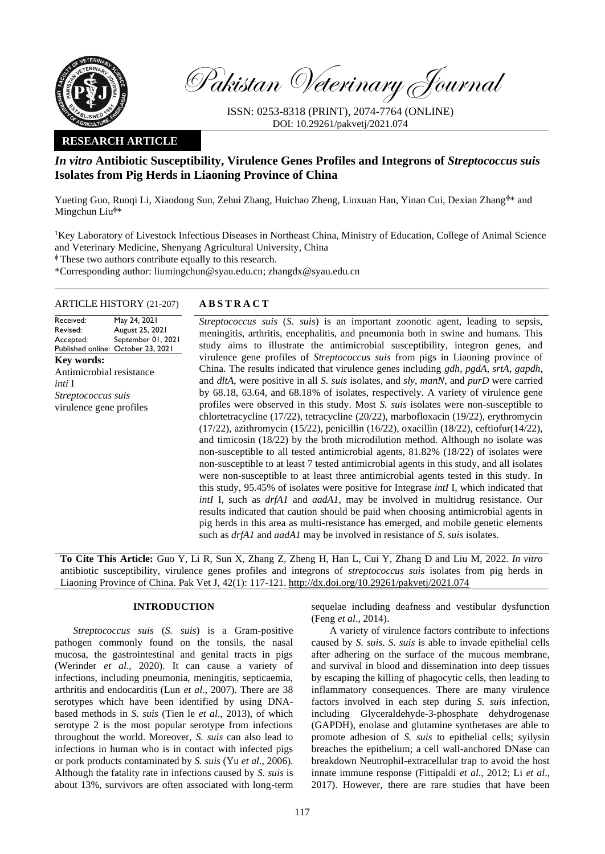

Pakistan Veterinary Journal

ISSN: 0253-8318 (PRINT), 2074-7764 (ONLINE) DOI: 10.29261/pakvetj/2021.074

## **RESEARCH ARTICLE**

# *In vitro* **Antibiotic Susceptibility, Virulence Genes Profiles and Integrons of** *Streptococcus suis* **Isolates from Pig Herds in Liaoning Province of China**

Yueting Guo, Ruoqi Li, Xiaodong Sun, Zehui Zhang, Huichao Zheng, Linxuan Han, Yinan Cui, Dexian Zhang $\phi*$  and Mingchun Liu $\psi^*$ 

<sup>1</sup>Key Laboratory of Livestock Infectious Diseases in Northeast China, Ministry of Education, College of Animal Science and Veterinary Medicine, Shenyang Agricultural University, China

 $\Phi$  These two authors contribute equally to this research.

\*Corresponding author: liumingchun@syau.edu.cn; zhangdx@syau.edu.cn

#### ARTICLE HISTORY (21-207) **A B S T R A C T**

Received: Revised: Accepted: Published online: October 23, 2021 May 24, 2021 August 25, 2021 September 01, 2021 **Key words:**  Antimicrobial resistance *inti* I *Streptococcus suis* virulence gene profiles

*Streptococcus suis* (*S. suis*) is an important zoonotic agent, leading to sepsis, meningitis, arthritis, encephalitis, and pneumonia both in swine and humans. This study aims to illustrate the antimicrobial susceptibility, integron genes, and virulence gene profiles of *Streptococcus suis* from pigs in Liaoning province of China. The results indicated that virulence genes including *gdh*, *pgdA*, *srtA*, *gapdh*, and *dltA*, were positive in all *S. suis* isolates, and *sly*, *manN*, and *purD* were carried by 68.18, 63.64, and 68.18% of isolates, respectively. A variety of virulence gene profiles were observed in this study. Most *S. suis* isolates were non-susceptible to chlortetracycline (17/22), tetracycline (20/22), marbofloxacin (19/22), erythromycin (17/22), azithromycin (15/22), penicillin (16/22), oxacillin (18/22), ceftiofur(14/22), and timicosin (18/22) by the broth microdilution method. Although no isolate was non-susceptible to all tested antimicrobial agents, 81.82% (18/22) of isolates were non-susceptible to at least 7 tested antimicrobial agents in this study, and all isolates were non-susceptible to at least three antimicrobial agents tested in this study. In this study, 95.45% of isolates were positive for Integrase *intI* I, which indicated that *intI* I, such as *drfA1* and *aadA1*, may be involved in multidrug resistance. Our results indicated that caution should be paid when choosing antimicrobial agents in pig herds in this area as multi-resistance has emerged, and mobile genetic elements such as *drfA1* and *aadA1* may be involved in resistance of *S. suis* isolates.

**To Cite This Article:** Guo Y, Li R, Sun X, Zhang Z, Zheng H, Han L, Cui Y, Zhang D and Liu M, 2022. *In vitro* antibiotic susceptibility, virulence genes profiles and integrons of *streptococcus suis* isolates from pig herds in Liaoning Province of China. Pak Vet J, 42(1): 117-121[. http://dx.doi.org/10.29261/pakvetj/2021.074](http://pvj.com.pk/pdf-files/42_1/117-121.pdf)

## **INTRODUCTION**

*Streptococcus suis* (*S. suis*) is a Gram-positive pathogen commonly found on the tonsils, the nasal mucosa, the gastrointestinal and genital tracts in pigs (Werinder *et al*., 2020). It can cause a variety of infections, including pneumonia, meningitis, septicaemia, arthritis and endocarditis (Lun *et al*., 2007). There are 38 serotypes which have been identified by using DNAbased methods in *S. suis* (Tien le *et al*., 2013), of which serotype 2 is the most popular serotype from infections throughout the world. Moreover, *S. suis* can also lead to infections in human who is in contact with infected pigs or pork products contaminated by *S. suis* (Yu *et al*., 2006). Although the fatality rate in infections caused by *S. suis* is about 13%, survivors are often associated with long-term sequelae including deafness and vestibular dysfunction (Feng *et al*., 2014).

A variety of virulence factors contribute to infections caused by *S. suis*. *S. suis* is able to invade epithelial cells after adhering on the surface of the mucous membrane, and survival in blood and dissemination into deep tissues by escaping the killing of phagocytic cells, then leading to inflammatory consequences. There are many virulence factors involved in each step during *S. suis* infection, including Glyceraldehyde-3-phosphate dehydrogenase (GAPDH), enolase and glutamine synthetases are able to promote adhesion of *S. suis* to epithelial cells; syilysin breaches the epithelium; a cell wall-anchored DNase can breakdown Neutrophil-extracellular trap to avoid the host innate immune response (Fittipaldi *et al.*, 2012; Li *et al*., 2017). However, there are rare studies that have been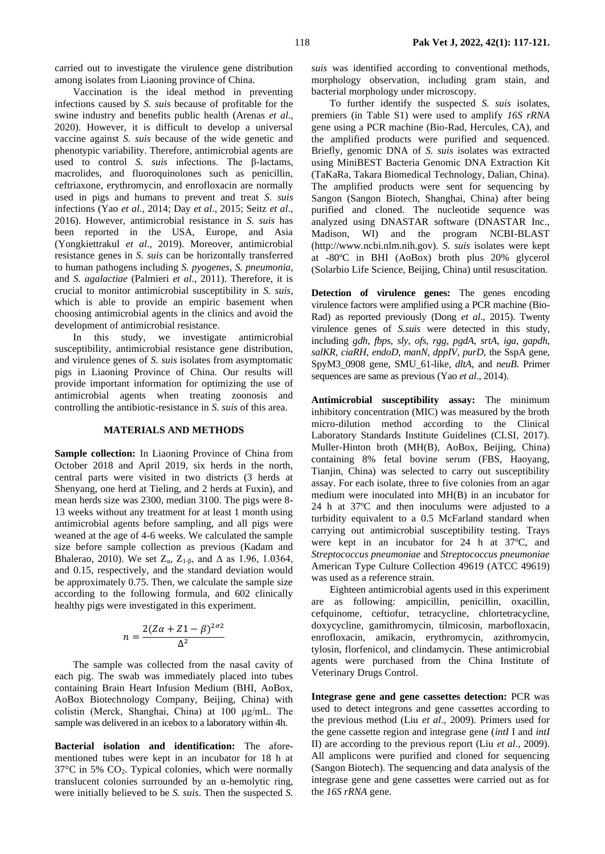carried out to investigate the virulence gene distribution among isolates from Liaoning province of China.

Vaccination is the ideal method in preventing infections caused by *S. suis* because of profitable for the swine industry and benefits public health (Arenas *et al*., 2020). However, it is difficult to develop a universal vaccine against *S. suis* because of the wide genetic and phenotypic variability. Therefore, antimicrobial agents are used to control *S. suis* infections. The β-lactams, macrolides, and fluoroquinolones such as penicillin, ceftriaxone, erythromycin, and enrofloxacin are normally used in pigs and humans to prevent and treat *S. suis* infections (Yao *et al*., 2014; Day *et al*., 2015; Seitz *et al*., 2016). However, antimicrobial resistance in *S. suis* has been reported in the USA, Europe, and Asia (Yongkiettrakul *et al*., 2019). Moreover, antimicrobial resistance genes in *S. suis* can be horizontally transferred to human pathogens including *S. pyogenes*, *S. pneumonia*, and *S. agalactiae* (Palmieri *et al*., 2011). Therefore, it is crucial to monitor antimicrobial susceptibility in *S. suis*, which is able to provide an empiric basement when choosing antimicrobial agents in the clinics and avoid the development of antimicrobial resistance.

In this study, we investigate antimicrobial susceptibility, antimicrobial resistance gene distribution, and virulence genes of *S. suis* isolates from asymptomatic pigs in Liaoning Province of China. Our results will provide important information for optimizing the use of antimicrobial agents when treating zoonosis and controlling the antibiotic-resistance in *S. suis* of this area.

#### **MATERIALS AND METHODS**

**Sample collection:** In Liaoning Province of China from October 2018 and April 2019, six herds in the north, central parts were visited in two districts (3 herds at Shenyang, one herd at Tieling, and 2 herds at Fuxin), and mean herds size was 2300, median 3100. The pigs were 8- 13 weeks without any treatment for at least 1 month using antimicrobial agents before sampling, and all pigs were weaned at the age of 4-6 weeks. We calculated the sample size before sample collection as previous (Kadam and Bhalerao, 2010). We set  $Z_{\alpha}$ ,  $Z_{1-\beta}$ , and  $\Delta$  as 1.96, 1.0364, and 0.15, respectively, and the standard deviation would be approximately 0.75. Then, we calculate the sample size according to the following formula, and 602 clinically healthy pigs were investigated in this experiment.

$$
n = \frac{2(Z\alpha + Z1 - \beta)^{2\sigma 2}}{\Delta^2}
$$

The sample was collected from the nasal cavity of each pig. The swab was immediately placed into tubes containing Brain Heart Infusion Medium (BHI, AoBox, AoBox Biotechnology Company, Beijing, China) with colistin (Merck, Shanghai, China) at 100 μg/mL. The sample was delivered in an icebox to a laboratory within 4h.

**Bacterial isolation and identification:** The aforementioned tubes were kept in an incubator for 18 h at 37°C in 5% CO2. Typical colonies, which were normally translucent colonies surrounded by an α-hemolytic ring, were initially believed to be *S. suis*. Then the suspected *S.* 

*suis* was identified according to conventional methods, morphology observation, including gram stain, and bacterial morphology under microscopy.

To further identify the suspected *S. suis* isolates, premiers (in Table S1) were used to amplify *16S rRNA* gene using a PCR machine (Bio-Rad, Hercules, CA), and the amplified products were purified and sequenced. Briefly, genomic DNA of *S. suis* isolates was extracted using MiniBEST Bacteria Genomic DNA Extraction Kit (TaKaRa, Takara Biomedical Technology, Dalian, China). The amplified products were sent for sequencing by Sangon (Sangon Biotech, Shanghai, China) after being purified and cloned. The nucleotide sequence was analyzed using DNASTAR software (DNASTAR Inc., Madison, WI) and the program NCBI-BLAST (http://www.ncbi.nlm.nih.gov). *S. suis* isolates were kept at -80ºC in BHI (AoBox) broth plus 20% glycerol (Solarbio Life Science, Beijing, China) until resuscitation.

**Detection of virulence genes:** The genes encoding virulence factors were amplified using a PCR machine (Bio-Rad) as reported previously (Dong *et al*., 2015). Twenty virulence genes of *S.suis* were detected in this study, including *gdh*, *fbps*, *sly*, *ofs*, *rgg*, *pgdA*, *srtA*, *iga*, *gapdh*, *salKR*, *ciaRH*, *endoD*, *manN*, *dppIV*, *purD*, the SspA gene, SpyM3\_0908 gene, SMU\_61-like, *dltA*, and *neuB*. Primer sequences are same as previous (Yao *et al*., 2014).

**Antimicrobial susceptibility assay:** The minimum inhibitory concentration (MIC) was measured by the broth micro-dilution method according to the Clinical Laboratory Standards Institute Guidelines (CLSI, 2017). Muller-Hinton broth (MH(B), AoBox, Beijing, China) containing 8% fetal bovine serum (FBS, Haoyang, Tianjin, China) was selected to carry out susceptibility assay. For each isolate, three to five colonies from an agar medium were inoculated into MH(B) in an incubator for 24 h at 37ºC and then inoculums were adjusted to a turbidity equivalent to a 0.5 McFarland standard when carrying out antimicrobial susceptibility testing. Trays were kept in an incubator for 24 h at 37ºC, and *Streptococcus pneumoniae* and *Streptococcus pneumoniae* American Type Culture Collection 49619 (ATCC 49619) was used as a reference strain.

Eighteen antimicrobial agents used in this experiment are as following: ampicillin, penicillin, oxacillin, cefquinome, ceftiofur, tetracycline, chlortetracycline, doxycycline, gamithromycin, tilmicosin, marbofloxacin, enrofloxacin, amikacin, erythromycin, azithromycin, tylosin, florfenicol, and clindamycin. These antimicrobial agents were purchased from the China Institute of Veterinary Drugs Control.

**Integrase gene and gene cassettes detection:** PCR was used to detect integrons and gene cassettes according to the previous method (Liu *et al*., 2009). Primers used for the gene cassette region and integrase gene (*intI* I and *intI* II) are according to the previous report (Liu *et al*., 2009). All amplicons were purified and cloned for sequencing (Sangon Biotech). The sequencing and data analysis of the integrase gene and gene cassettes were carried out as for the *16S rRNA* gene.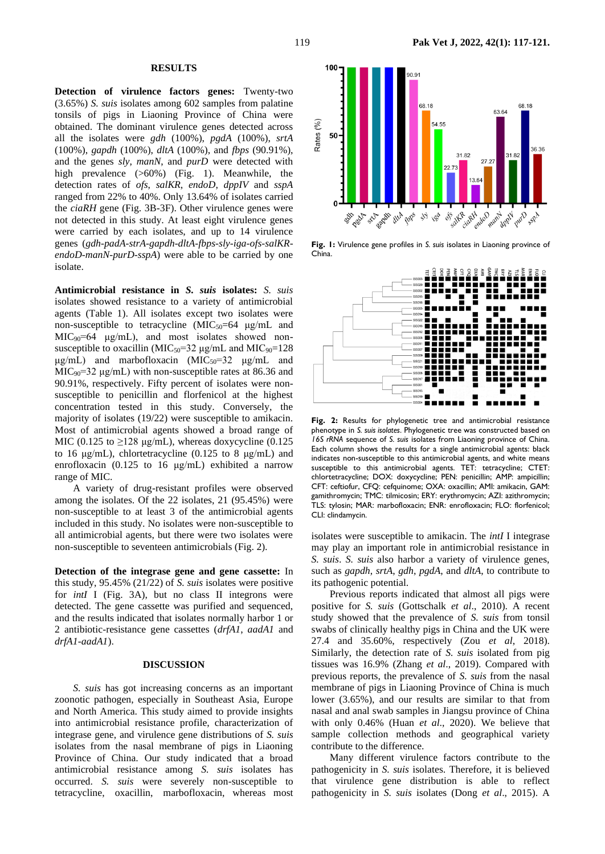#### **RESULTS**

**Detection of virulence factors genes:** Twenty-two (3.65%) *S. suis* isolates among 602 samples from palatine tonsils of pigs in Liaoning Province of China were obtained. The dominant virulence genes detected across all the isolates were *gdh* (100%), *pgdA* (100%), *srtA* (100%), *gapdh* (100%), *dltA* (100%), and *fbps* (90.91%), and the genes *sly*, *manN*, and *purD* were detected with high prevalence ( $>60\%$ ) (Fig. 1). Meanwhile, the detection rates of *ofs*, *salKR*, *endoD*, *dppIV* and *sspA* ranged from 22% to 40%. Only 13.64% of isolates carried the *ciaRH* gene (Fig. 3B-3F). Other virulence genes were not detected in this study. At least eight virulence genes were carried by each isolates, and up to 14 virulence genes (*gdh-padA-strA-gapdh-dltA-fbps-sly-iga-ofs-salKRendoD-manN-purD-sspA*) were able to be carried by one isolate.

**Antimicrobial resistance in** *S. suis* **isolates:** *S. suis* isolates showed resistance to a variety of antimicrobial agents (Table 1). All isolates except two isolates were non-susceptible to tetracycline  $(MIC_{50}=64 \mu g/mL$  and MIC90=64 μg/mL), and most isolates showed nonsusceptible to oxacillin ( $MIC<sub>50</sub>=32 \mu g/mL$  and  $MIC<sub>90</sub>=128$ μg/mL) and marbofloxacin (MIC<sub>50</sub>=32 μg/mL and  $MIC<sub>90</sub>=32 \mu g/mL$ ) with non-susceptible rates at 86.36 and 90.91%, respectively. Fifty percent of isolates were nonsusceptible to penicillin and florfenicol at the highest concentration tested in this study. Conversely, the majority of isolates (19/22) were susceptible to amikacin. Most of antimicrobial agents showed a broad range of MIC (0.125 to  $\geq$ 128 μg/mL), whereas doxycycline (0.125 to 16 μg/mL), chlortetracycline (0.125 to 8 μg/mL) and enrofloxacin (0.125 to 16 μg/mL) exhibited a narrow range of MIC.

A variety of drug-resistant profiles were observed among the isolates. Of the 22 isolates, 21 (95.45%) were non-susceptible to at least 3 of the antimicrobial agents included in this study. No isolates were non-susceptible to all antimicrobial agents, but there were two isolates were non-susceptible to seventeen antimicrobials (Fig. 2).

**Detection of the integrase gene and gene cassette:** In this study, 95.45% (21/22) of *S. suis* isolates were positive for *intI* I (Fig. 3A), but no class II integrons were detected. The gene cassette was purified and sequenced, and the results indicated that isolates normally harbor 1 or 2 antibiotic-resistance gene cassettes (*drfA1*, *aadA1* and *drfA1*-*aadA1*).

#### **DISCUSSION**

*S. suis* has got increasing concerns as an important zoonotic pathogen, especially in Southeast Asia, Europe and North America. This study aimed to provide insights into antimicrobial resistance profile, characterization of integrase gene, and virulence gene distributions of *S. suis* isolates from the nasal membrane of pigs in Liaoning Province of China. Our study indicated that a broad antimicrobial resistance among *S. suis* isolates has occurred. *S. suis* were severely non-susceptible to tetracycline, oxacillin, marbofloxacin, whereas most



**Fig. 1:** Virulence gene profiles in *S. suis* isolates in Liaoning province of China.



**Fig. 2:** Results for phylogenetic tree and antimicrobial resistance phenotype in *S. suis isolates*. Phylogenetic tree was constructed based on *16S rRNA* sequence of *S. suis* isolates from Liaoning province of China. Each column shows the results for a single antimicrobial agents: black indicates non-susceptible to this antimicrobial agents, and white means susceptible to this antimicrobial agents. TET: tetracycline; CTET: chlortetracycline; DOX: doxycycline; PEN: penicillin; AMP: ampicillin; CFT: ceftiofur, CFQ: cefquinome; OXA: oxacillin; AMI: amikacin, GAM: gamithromycin; TMC: tilmicosin; ERY: erythromycin; AZI: azithromycin; TLS: tylosin; MAR: marbofloxacin; ENR: enrofloxacin; FLO: florfenicol; CLI: clindamycin.

isolates were susceptible to amikacin. The *intI* I integrase may play an important role in antimicrobial resistance in *S. suis*. *S. suis* also harbor a variety of virulence genes, such as *gapdh*, *srtA*, *gdh*, *pgdA*, and *dltA*, to contribute to its pathogenic potential.

Previous reports indicated that almost all pigs were positive for *S. suis* (Gottschalk *et al*., 2010). A recent study showed that the prevalence of *S. suis* from tonsil swabs of clinically healthy pigs in China and the UK were 27.4 and 35.60%, respectively (Zou *et al*, 2018). Similarly, the detection rate of *S. suis* isolated from pig tissues was 16.9% (Zhang *et al*., 2019). Compared with previous reports, the prevalence of *S. suis* from the nasal membrane of pigs in Liaoning Province of China is much lower (3.65%), and our results are similar to that from nasal and anal swab samples in Jiangsu province of China with only 0.46% (Huan *et al*., 2020). We believe that sample collection methods and geographical variety contribute to the difference.

Many different virulence factors contribute to the pathogenicity in *S. suis* isolates. Therefore, it is believed that virulence gene distribution is able to reflect pathogenicity in *S. suis* isolates (Dong *et al*., 2015). A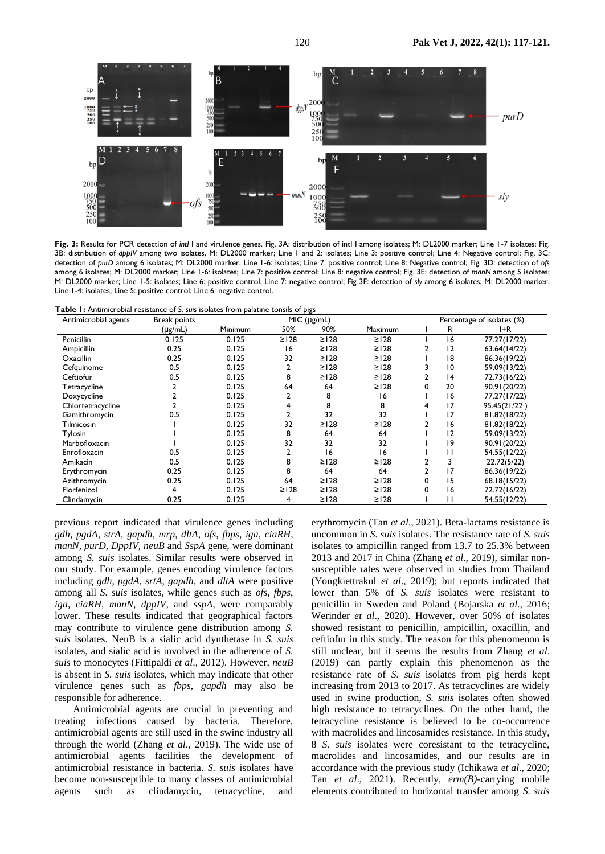

**Fig. 3:** Results for PCR detection of *intI* I and virulence genes. Fig. 3A: distribution of intI I among isolates; M: DL2000 marker; Line 1-7 isolates; Fig. 3B: distribution of *dppIV* among two isolates, M: DL2000 marker; Line 1 and 2: isolates; Line 3: positive control; Line 4: Negative control; Fig. 3C: detection of *purD* among 6 isolates; M: DL2000 marker; Line 1-6: isolates; Line 7: positive control; Line 8: Negative control; Fig. 3D: detection of *ofs* among 6 isolates; M: DL2000 marker; Line 1-6: isolates; Line 7: positive control; Line 8: negative control; Fig. 3E: detection of *manN* among 5 isolates; M: DL2000 marker; Line 1-5: isolates; Line 6: positive control; Line 7: negative control; Fig 3F: detection of *sly* among 6 isolates; M: DL2000 marker; Line 1-4: isolates; Line 5: positive control; Line 6: negative control.

**Table 1:** Antimicrobial resistance of *S. suis* isolates from palatine tonsils of pigs

| Antimicrobial agents | <b>Break points</b> | MIC (µg/mL) |            |             |                | Percentage of isolates (%) |             |              |
|----------------------|---------------------|-------------|------------|-------------|----------------|----------------------------|-------------|--------------|
|                      | $(\mu g/mL)$        | Minimum     | 50%        | 90%         | <b>Maximum</b> |                            | R           | I+R          |
| Penicillin           | 0.125               | 0.125       | $\geq$ 128 | $\geq$ 128  | $\geq$   28    |                            | 16          | 77.27(17/22) |
| Ampicillin           | 0.25                | 0.125       | 16         | $\geq$   28 | $\geq$   28    |                            | $ 2\rangle$ | 63.64(14/22) |
| Oxacillin            | 0.25                | 0.125       | 32         | $\geq$ 128  | $\geq$ 128     |                            | 18          | 86.36(19/22) |
| Cefquinome           | 0.5                 | 0.125       |            | $\geq$ 128  | $\geq$ 128     |                            | 10          | 59.09(13/22) |
| Ceftiofur            | 0.5                 | 0.125       | 8          | $\geq$ 128  | $\geq$   28    |                            | 4           | 72.73(16/22) |
| Tetracycline         |                     | 0.125       | 64         | 64          | $\geq$   28    | 0                          | 20          | 90.91(20/22) |
| Doxycycline          |                     | 0.125       |            | 8           | 16             |                            | 16          | 77.27(17/22) |
| Chlortetracycline    |                     | 0.125       | 4          | 8           | 8              | 4                          | 17          | 95.45(21/22) |
| Gamithromycin        | 0.5                 | 0.125       |            | 32          | 32             |                            | 17          | 81.82(18/22) |
| Tilmicosin           |                     | 0.125       | 32         | $\geq$ 128  | $\geq$ 128     |                            | 16          | 81.82(18/22) |
| Tylosin              |                     | 0.125       | 8          | 64          | 64             |                            | 12          | 59.09(13/22) |
| Marbofloxacin        |                     | 0.125       | 32         | 32          | 32             |                            | 19          | 90.91(20/22) |
| Enrofloxacin         | 0.5                 | 0.125       |            | 16          | 16             |                            | п           | 54.55(12/22) |
| Amikacin             | 0.5                 | 0.125       | 8          | $\geq$   28 | $\geq$   28    |                            | 3           | 22.72(5/22)  |
| Erythromycin         | 0.25                | 0.125       | 8          | 64          | 64             | 2                          | 17          | 86.36(19/22) |
| Azithromycin         | 0.25                | 0.125       | 64         | $\geq$ 128  | $\geq$   28    | 0                          | 15          | 68.18(15/22) |
| Florfenicol          |                     | 0.125       | $\geq$ 128 | $\geq$ 128  | $\geq$   28    | 0                          | 16          | 72.72(16/22) |
| Clindamycin          | 0.25                | 0.125       | 4          | $\geq$   28 | $\geq$   28    |                            | П           | 54.55(12/22) |

previous report indicated that virulence genes including *gdh*, *pgdA*, *strA*, *gapdh*, *mrp*, *dltA*, *ofs*, *fbps*, *iga*, *ciaRH*, *manN*, *purD*, *DppIV*, *neuB* and *SspA* gene, were dominant among *S. suis* isolates. Similar results were observed in our study. For example, genes encoding virulence factors including *gdh*, *pgdA*, *srtA*, *gapdh*, and *dltA* were positive among all *S. suis* isolates, while genes such as *ofs*, *fbps*, *iga*, *ciaRH*, *manN*, *dppIV*, and *sspA*, were comparably lower. These results indicated that geographical factors may contribute to virulence gene distribution among *S. suis* isolates. NeuB is a sialic acid dynthetase in *S. suis* isolates, and sialic acid is involved in the adherence of *S. suis* to monocytes (Fittipaldi *et al*., 2012). However, *neuB* is absent in *S. suis* isolates, which may indicate that other virulence genes such as *fbps*, *gapdh* may also be responsible for adherence.

Antimicrobial agents are crucial in preventing and treating infections caused by bacteria. Therefore, antimicrobial agents are still used in the swine industry all through the world (Zhang *et al*., 2019). The wide use of antimicrobial agents facilities the development of antimicrobial resistance in bacteria. *S. suis* isolates have become non-susceptible to many classes of antimicrobial agents such as clindamycin, tetracycline, and erythromycin (Tan *et al*., 2021). Beta-lactams resistance is uncommon in *S. suis* isolates. The resistance rate of *S. suis* isolates to ampicillin ranged from 13.7 to 25.3% between 2013 and 2017 in China (Zhang *et al*., 2019), similar nonsusceptible rates were observed in studies from Thailand (Yongkiettrakul *et al*., 2019); but reports indicated that lower than 5% of *S. suis* isolates were resistant to penicillin in Sweden and Poland (Bojarska *et al*., 2016; Werinder *et al*., 2020). However, over 50% of isolates showed resistant to penicillin, ampicillin, oxacillin, and ceftiofur in this study. The reason for this phenomenon is still unclear, but it seems the results from Zhang *et al*. (2019) can partly explain this phenomenon as the resistance rate of *S. suis* isolates from pig herds kept increasing from 2013 to 2017. As tetracyclines are widely used in swine production, *S. suis* isolates often showed high resistance to tetracyclines. On the other hand, the tetracycline resistance is believed to be co-occurrence with macrolides and lincosamides resistance. In this study, 8 *S. suis* isolates were coresistant to the tetracycline, macrolides and lincosamides, and our results are in accordance with the previous study (Ichikawa *et al*., 2020; Tan *et al*., 2021). Recently, *erm(B)*-carrying mobile elements contributed to horizontal transfer among *S. suis*